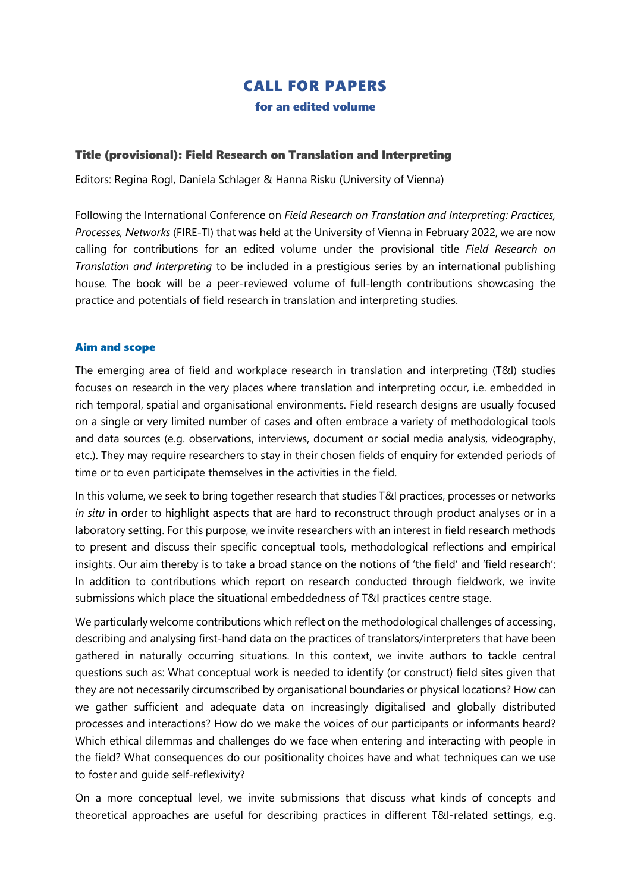# CALL FOR PAPERS for an edited volume

#### Title (provisional): Field Research on Translation and Interpreting

Editors: Regina Rogl, Daniela Schlager & Hanna Risku (University of Vienna)

Following the International Conference on *Field Research on Translation and Interpreting: Practices, Processes, Networks* (FIRE-TI) that was held at the University of Vienna in February 2022, we are now calling for contributions for an edited volume under the provisional title *Field Research on Translation and Interpreting* to be included in a prestigious series by an international publishing house. The book will be a peer-reviewed volume of full-length contributions showcasing the practice and potentials of field research in translation and interpreting studies.

#### Aim and scope

The emerging area of field and workplace research in translation and interpreting (T&I) studies focuses on research in the very places where translation and interpreting occur, i.e. embedded in rich temporal, spatial and organisational environments. Field research designs are usually focused on a single or very limited number of cases and often embrace a variety of methodological tools and data sources (e.g. observations, interviews, document or social media analysis, videography, etc.). They may require researchers to stay in their chosen fields of enquiry for extended periods of time or to even participate themselves in the activities in the field.

In this volume, we seek to bring together research that studies T&I practices, processes or networks *in situ* in order to highlight aspects that are hard to reconstruct through product analyses or in a laboratory setting. For this purpose, we invite researchers with an interest in field research methods to present and discuss their specific conceptual tools, methodological reflections and empirical insights. Our aim thereby is to take a broad stance on the notions of 'the field' and 'field research': In addition to contributions which report on research conducted through fieldwork, we invite submissions which place the situational embeddedness of T&I practices centre stage.

We particularly welcome contributions which reflect on the methodological challenges of accessing, describing and analysing first-hand data on the practices of translators/interpreters that have been gathered in naturally occurring situations. In this context, we invite authors to tackle central questions such as: What conceptual work is needed to identify (or construct) field sites given that they are not necessarily circumscribed by organisational boundaries or physical locations? How can we gather sufficient and adequate data on increasingly digitalised and globally distributed processes and interactions? How do we make the voices of our participants or informants heard? Which ethical dilemmas and challenges do we face when entering and interacting with people in the field? What consequences do our positionality choices have and what techniques can we use to foster and guide self-reflexivity?

On a more conceptual level, we invite submissions that discuss what kinds of concepts and theoretical approaches are useful for describing practices in different T&I-related settings, e.g.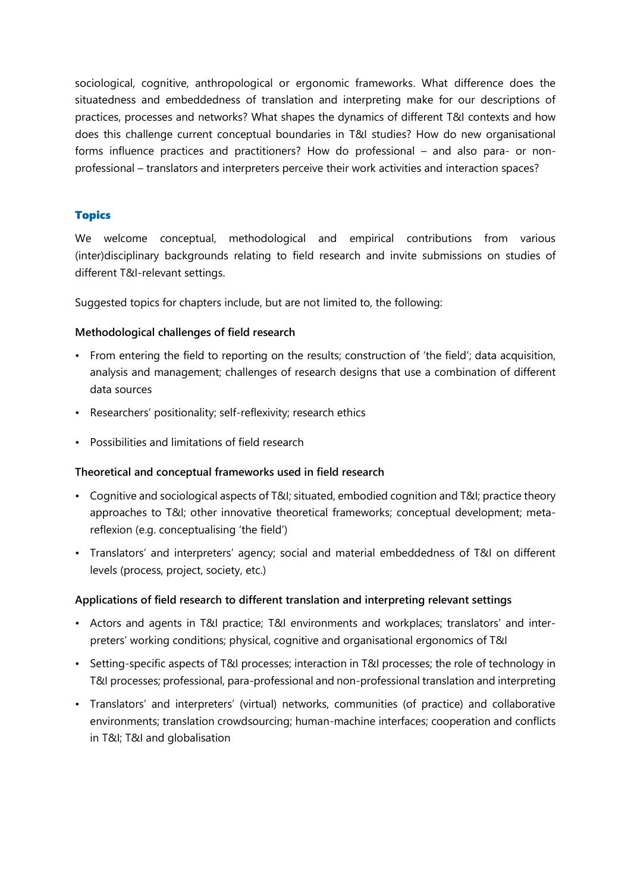sociological, cognitive, anthropological or ergonomic frameworks. What difference does the situatedness and embeddedness of translation and interpreting make for our descriptions of practices, processes and networks? What shapes the dynamics of different T&I contexts and how does this challenge current conceptual boundaries in T&I studies? How do new organisational forms influence practices and practitioners? How do professional – and also para- or nonprofessional – translators and interpreters perceive their work activities and interaction spaces?

# Topics

We welcome conceptual, methodological and empirical contributions from various (inter)disciplinary backgrounds relating to field research and invite submissions on studies of different T&I-relevant settings.

Suggested topics for chapters include, but are not limited to, the following:

## **Methodological challenges of field research**

- From entering the field to reporting on the results; construction of 'the field'; data acquisition, analysis and management; challenges of research designs that use a combination of different data sources
- Researchers' positionality; self-reflexivity; research ethics
- Possibilities and limitations of field research

## **Theoretical and conceptual frameworks used in field research**

- Cognitive and sociological aspects of T&I; situated, embodied cognition and T&I; practice theory approaches to T&I; other innovative theoretical frameworks; conceptual development; metareflexion (e.g. conceptualising 'the field')
- Translators' and interpreters' agency; social and material embeddedness of T&I on different levels (process, project, society, etc.)

## **Applications of field research to different translation and interpreting relevant settings**

- Actors and agents in T&I practice; T&I environments and workplaces; translators' and interpreters' working conditions; physical, cognitive and organisational ergonomics of T&I
- Setting-specific aspects of T&I processes; interaction in T&I processes; the role of technology in T&I processes; professional, para-professional and non-professional translation and interpreting
- Translators' and interpreters' (virtual) networks, communities (of practice) and collaborative environments; translation crowdsourcing; human-machine interfaces; cooperation and conflicts in T&I; T&I and globalisation